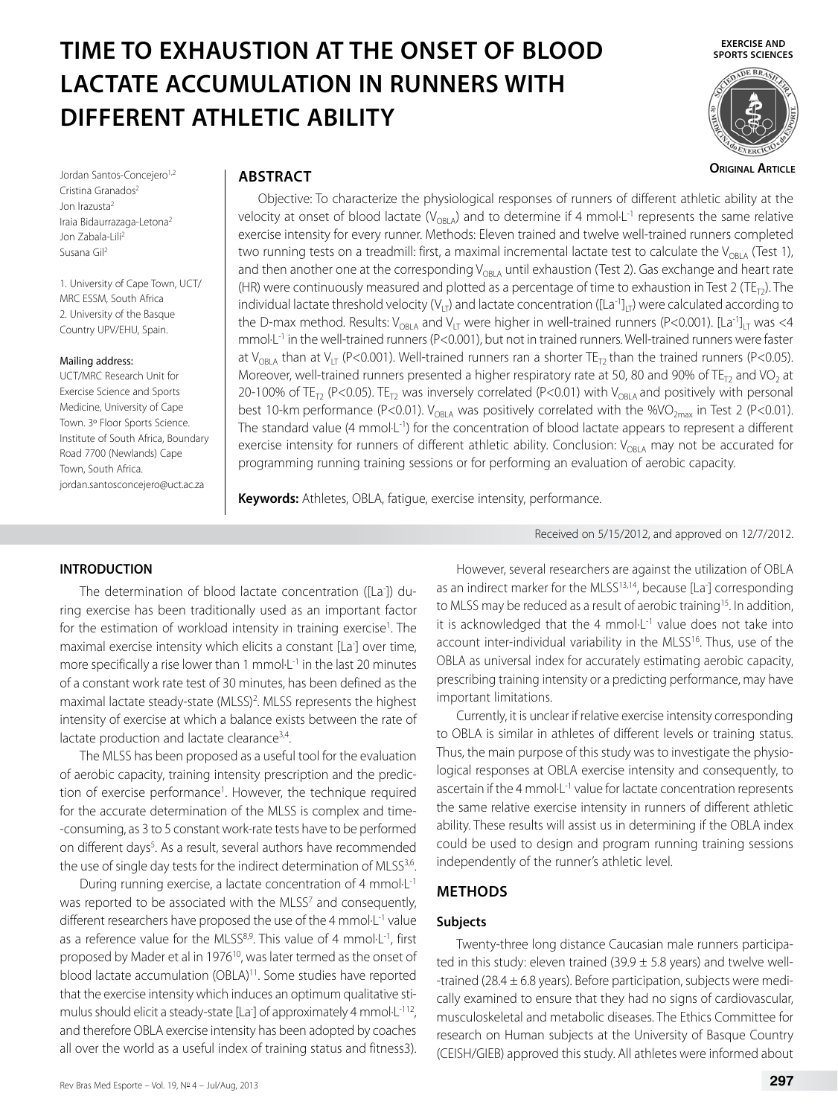# **TIME TO EXHAUSTION AT THE ONSET OF BLOOD LACTATE ACCUMULATION IN RUNNERS WITH DIFFERENT ATHLETIC ABILITY**

**EXERCISE AND SPORTS SCIENCES**



**Original Article**

Jordan Santos-Concejero<sup>1,2</sup> Cristina Granados<sup>2</sup> Jon Irazusta2 Iraia Bidaurrazaga-Letona2 Jon Zabala-Lili<sup>2</sup> Susana Gil2

1. University of Cape Town, UCT/ MRC ESSM, South Africa 2. University of the Basque Country UPV/EHU, Spain.

#### Mailing address:

UCT/MRC Research Unit for Exercise Science and Sports Medicine, University of Cape Town. 3º Floor Sports Science. Institute of South Africa, Boundary Road 7700 (Newlands) Cape Town, South Africa. jordan.santosconcejero@uct.ac.za

# **ABSTRACT**

Objective: To characterize the physiological responses of runners of different athletic ability at the velocity at onset of blood lactate ( $V_{ORIA}$ ) and to determine if 4 mmol $L^{-1}$  represents the same relative exercise intensity for every runner. Methods: Eleven trained and twelve well-trained runners completed two running tests on a treadmill: first, a maximal incremental lactate test to calculate the  $V_{ORIA}$  (Test 1), and then another one at the corresponding  $V_{ORIA}$  until exhaustion (Test 2). Gas exchange and heart rate (HR) were continuously measured and plotted as a percentage of time to exhaustion in Test 2 (TE<sub>T2</sub>). The individual lactate threshold velocity ( $V_{\text{UT}}$ ) and lactate concentration ([La<sup>-1</sup>]<sub>UT</sub>) were calculated according to the D-max method. Results:  $V_{OBIA}$  and  $V_{IT}$  were higher in well-trained runners (P<0.001). [La<sup>-1</sup>]<sub>IT</sub> was <4 mmol·L-1 in the well-trained runners (P<0.001), but not in trained runners. Well-trained runners were faster at V<sub>OBLA</sub> than at V<sub>LT</sub> (P<0.001). Well-trained runners ran a shorter TE<sub>T2</sub> than the trained runners (P<0.05). Moreover, well-trained runners presented a higher respiratory rate at 50, 80 and 90% of TE<sub>T2</sub> and VO<sub>2</sub> at 20-100% of TE<sub>T2</sub> (P<0.05). TE<sub>T2</sub> was inversely correlated (P<0.01) with V<sub>OBLA</sub> and positively with personal best 10-km performance (P<0.01).  $V_{OBLA}$  was positively correlated with the %VO<sub>2max</sub> in Test 2 (P<0.01). The standard value (4 mmol·L<sup>-1</sup>) for the concentration of blood lactate appears to represent a different exercise intensity for runners of different athletic ability. Conclusion:  $V_{\text{ORLA}}$  may not be accurated for programming running training sessions or for performing an evaluation of aerobic capacity.

**Keywords:** Athletes, OBLA, fatigue, exercise intensity, performance.

Received on 5/15/2012, and approved on 12/7/2012.

## **INTRODUCTION**

The determination of blood lactate concentration ([La- ]) during exercise has been traditionally used as an important factor for the estimation of workload intensity in training exercise<sup>1</sup>. The maximal exercise intensity which elicits a constant [La- ] over time, more specifically a rise lower than 1 mmol $\cdot$ L<sup>-1</sup> in the last 20 minutes of a constant work rate test of 30 minutes, has been defined as the maximal lactate steady-state (MLSS)<sup>2</sup>. MLSS represents the highest intensity of exercise at which a balance exists between the rate of lactate production and lactate clearance<sup>3,4</sup>.

The MLSS has been proposed as a useful tool for the evaluation of aerobic capacity, training intensity prescription and the prediction of exercise performance<sup>1</sup>. However, the technique required for the accurate determination of the MLSS is complex and time- -consuming, as 3 to 5 constant work-rate tests have to be performed on different days<sup>5</sup>. As a result, several authors have recommended the use of single day tests for the indirect determination of MLSS<sup>3,6</sup>.

During running exercise, a lactate concentration of 4 mmol·L-1 was reported to be associated with the MLSS<sup>7</sup> and consequently, different researchers have proposed the use of the 4 mmol $L^{-1}$  value as a reference value for the MLSS<sup>8,9</sup>. This value of 4 mmol·L<sup>-1</sup>, first proposed by Mader et al in 1976<sup>10</sup>, was later termed as the onset of blood lactate accumulation (OBLA)<sup>11</sup>. Some studies have reported that the exercise intensity which induces an optimum qualitative stimulus should elicit a steady-state [La<sup>-</sup>] of approximately 4 mmol·L<sup>-112</sup>, and therefore OBLA exercise intensity has been adopted by coaches all over the world as a useful index of training status and fitness3).

However, several researchers are against the utilization of OBLA as an indirect marker for the MLSS<sup>13,14</sup>, because [La<sup>-</sup>] corresponding to MLSS may be reduced as a result of aerobic training<sup>15</sup>. In addition, it is acknowledged that the 4 mmol $L^{-1}$  value does not take into account inter-individual variability in the MLSS<sup>16</sup>. Thus, use of the OBLA as universal index for accurately estimating aerobic capacity, prescribing training intensity or a predicting performance, may have important limitations.

Currently, it is unclear if relative exercise intensity corresponding to OBLA is similar in athletes of different levels or training status. Thus, the main purpose of this study was to investigate the physiological responses at OBLA exercise intensity and consequently, to ascertain if the 4 mmol $L^{-1}$  value for lactate concentration represents the same relative exercise intensity in runners of different athletic ability. These results will assist us in determining if the OBLA index could be used to design and program running training sessions independently of the runner's athletic level.

# **METHODS**

## **Subjects**

Twenty-three long distance Caucasian male runners participated in this study: eleven trained (39.9  $\pm$  5.8 years) and twelve well--trained (28.4  $\pm$  6.8 years). Before participation, subjects were medically examined to ensure that they had no signs of cardiovascular, musculoskeletal and metabolic diseases. The Ethics Committee for research on Human subjects at the University of Basque Country (CEISH/GIEB) approved this study. All athletes were informed about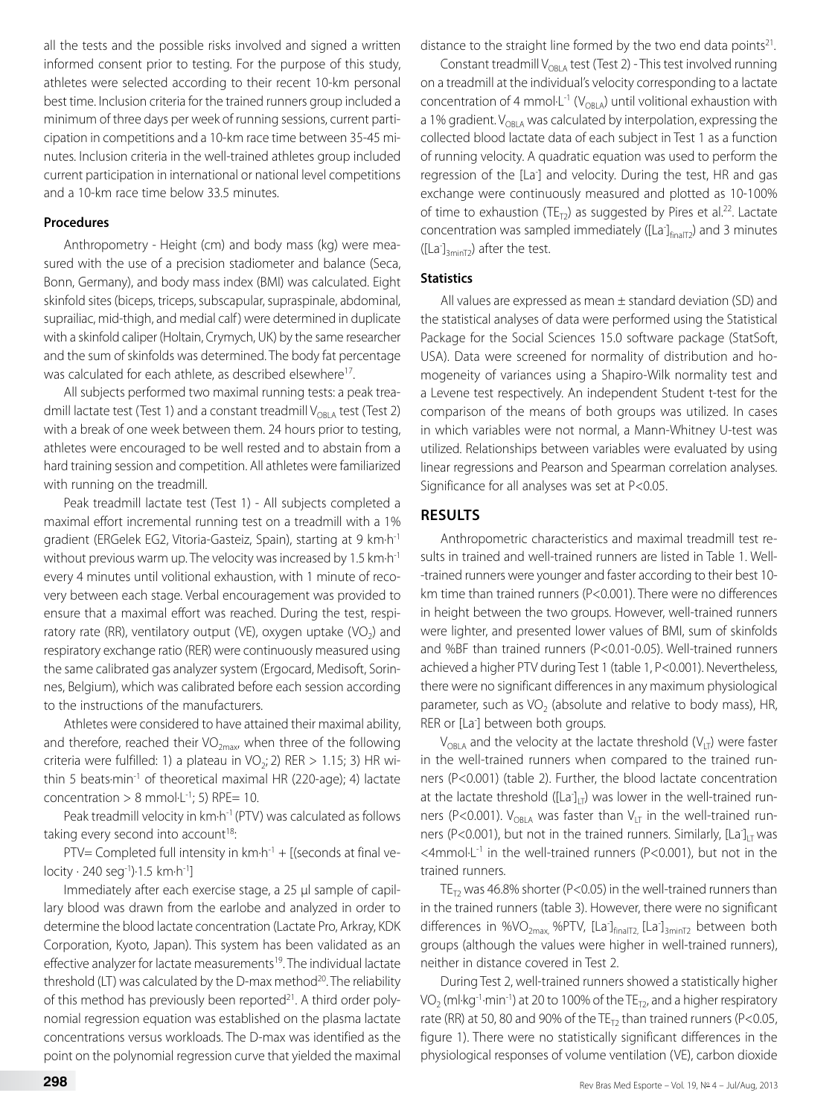all the tests and the possible risks involved and signed a written informed consent prior to testing. For the purpose of this study, athletes were selected according to their recent 10-km personal best time. Inclusion criteria for the trained runners group included a minimum of three days per week of running sessions, current participation in competitions and a 10-km race time between 35-45 minutes. Inclusion criteria in the well-trained athletes group included current participation in international or national level competitions and a 10-km race time below 33.5 minutes.

#### **Procedures**

Anthropometry - Height (cm) and body mass (kg) were measured with the use of a precision stadiometer and balance (Seca, Bonn, Germany), and body mass index (BMI) was calculated. Eight skinfold sites (biceps, triceps, subscapular, supraspinale, abdominal, suprailiac, mid-thigh, and medial calf ) were determined in duplicate with a skinfold caliper (Holtain, Crymych, UK) by the same researcher and the sum of skinfolds was determined. The body fat percentage was calculated for each athlete, as described elsewhere<sup>17</sup>.

All subjects performed two maximal running tests: a peak treadmill lactate test (Test 1) and a constant treadmill  $V_{OBIA}$  test (Test 2) with a break of one week between them. 24 hours prior to testing, athletes were encouraged to be well rested and to abstain from a hard training session and competition. All athletes were familiarized with running on the treadmill.

Peak treadmill lactate test (Test 1) - All subjects completed a maximal effort incremental running test on a treadmill with a 1% gradient (ERGelek EG2, Vitoria-Gasteiz, Spain), starting at 9 km·h-1 without previous warm up. The velocity was increased by 1.5 km·h<sup>-1</sup> every 4 minutes until volitional exhaustion, with 1 minute of recovery between each stage. Verbal encouragement was provided to ensure that a maximal effort was reached. During the test, respiratory rate (RR), ventilatory output (VE), oxygen uptake (VO<sub>2</sub>) and respiratory exchange ratio (RER) were continuously measured using the same calibrated gas analyzer system (Ergocard, Medisoft, Sorinnes, Belgium), which was calibrated before each session according to the instructions of the manufacturers.

Athletes were considered to have attained their maximal ability, and therefore, reached their  $VO_{2max}$ , when three of the following criteria were fulfilled: 1) a plateau in  $VO_2$ ; 2) RER > 1.15; 3) HR within 5 beats $\cdot$ min<sup>-1</sup> of theoretical maximal HR (220-age); 4) lactate concentration  $> 8$  mmol $\cdot$ L<sup>-1</sup>; 5) RPE= 10.

Peak treadmill velocity in km·h<sup>-1</sup> (PTV) was calculated as follows taking every second into account<sup>18</sup>:

PTV= Completed full intensity in  $km \cdot h^{-1}$  + [(seconds at final velocity · 240 seg-1)·1.5 km·h-1]

Immediately after each exercise stage, a 25 μl sample of capillary blood was drawn from the earlobe and analyzed in order to determine the blood lactate concentration (Lactate Pro, Arkray, KDK Corporation, Kyoto, Japan). This system has been validated as an effective analyzer for lactate measurements<sup>19</sup>. The individual lactate threshold (LT) was calculated by the D-max method<sup>20</sup>. The reliability of this method has previously been reported<sup>21</sup>. A third order polynomial regression equation was established on the plasma lactate concentrations versus workloads. The D-max was identified as the point on the polynomial regression curve that yielded the maximal distance to the straight line formed by the two end data points<sup>21</sup>.

Constant treadmill  $V_{ORA}$  test (Test 2) - This test involved running on a treadmill at the individual's velocity corresponding to a lactate concentration of 4 mmol $L^{-1}$  ( $V_{ORIA}$ ) until volitional exhaustion with a 1% gradient.  $V_{ORLA}$  was calculated by interpolation, expressing the collected blood lactate data of each subject in Test 1 as a function of running velocity. A quadratic equation was used to perform the regression of the [La- ] and velocity. During the test, HR and gas exchange were continuously measured and plotted as 10-100% of time to exhaustion (TE<sub>T2</sub>) as suggested by Pires et al.<sup>22</sup>. Lactate concentration was sampled immediately ( $[La]_{finalT2}$ ) and 3 minutes ([La- ]3minT2) after the test.

#### **Statistics**

All values are expressed as mean ± standard deviation (SD) and the statistical analyses of data were performed using the Statistical Package for the Social Sciences 15.0 software package (StatSoft, USA). Data were screened for normality of distribution and homogeneity of variances using a Shapiro-Wilk normality test and a Levene test respectively. An independent Student t-test for the comparison of the means of both groups was utilized. In cases in which variables were not normal, a Mann-Whitney U-test was utilized. Relationships between variables were evaluated by using linear regressions and Pearson and Spearman correlation analyses. Significance for all analyses was set at P<0.05.

## **RESULTS**

Anthropometric characteristics and maximal treadmill test results in trained and well-trained runners are listed in Table 1. Well- -trained runners were younger and faster according to their best 10 km time than trained runners (P<0.001). There were no differences in height between the two groups. However, well-trained runners were lighter, and presented lower values of BMI, sum of skinfolds and %BF than trained runners (P<0.01-0.05). Well-trained runners achieved a higher PTV during Test 1 (table 1, P<0.001). Nevertheless, there were no significant differences in any maximum physiological parameter, such as  $VO<sub>2</sub>$  (absolute and relative to body mass), HR, RER or [La<sup>-</sup>] between both groups.

 $V_{OBIA}$  and the velocity at the lactate threshold ( $V_{LT}$ ) were faster in the well-trained runners when compared to the trained runners (P<0.001) (table 2). Further, the blood lactate concentration at the lactate threshold ( $\text{[La]}_{\text{LI}}$ ) was lower in the well-trained runners (P<0.001).  $V_{OBIA}$  was faster than  $V_{LT}$  in the well-trained runners (P<0.001), but not in the trained runners. Similarly,  $\left[La\right]_{LT}$  was  $\leq$ 4mmol $\cdot$ L<sup>-1</sup> in the well-trained runners (P $\leq$ 0.001), but not in the trained runners.

TE<sub>T2</sub> was 46.8% shorter (P<0.05) in the well-trained runners than in the trained runners (table 3). However, there were no significant differences in %VO<sub>2max,</sub> %PTV, [La<sup>-</sup>]<sub>finalT2,</sub> [La<sup>-</sup>]<sub>3minT2</sub> between both groups (although the values were higher in well-trained runners), neither in distance covered in Test 2.

During Test 2, well-trained runners showed a statistically higher VO<sub>2</sub> (ml·kg<sup>-1</sup>·min<sup>-1</sup>) at 20 to 100% of the  $TE_{T2}$ , and a higher respiratory rate (RR) at 50, 80 and 90% of the  $TE_{T2}$  than trained runners (P<0.05, figure 1). There were no statistically significant differences in the physiological responses of volume ventilation (VE), carbon dioxide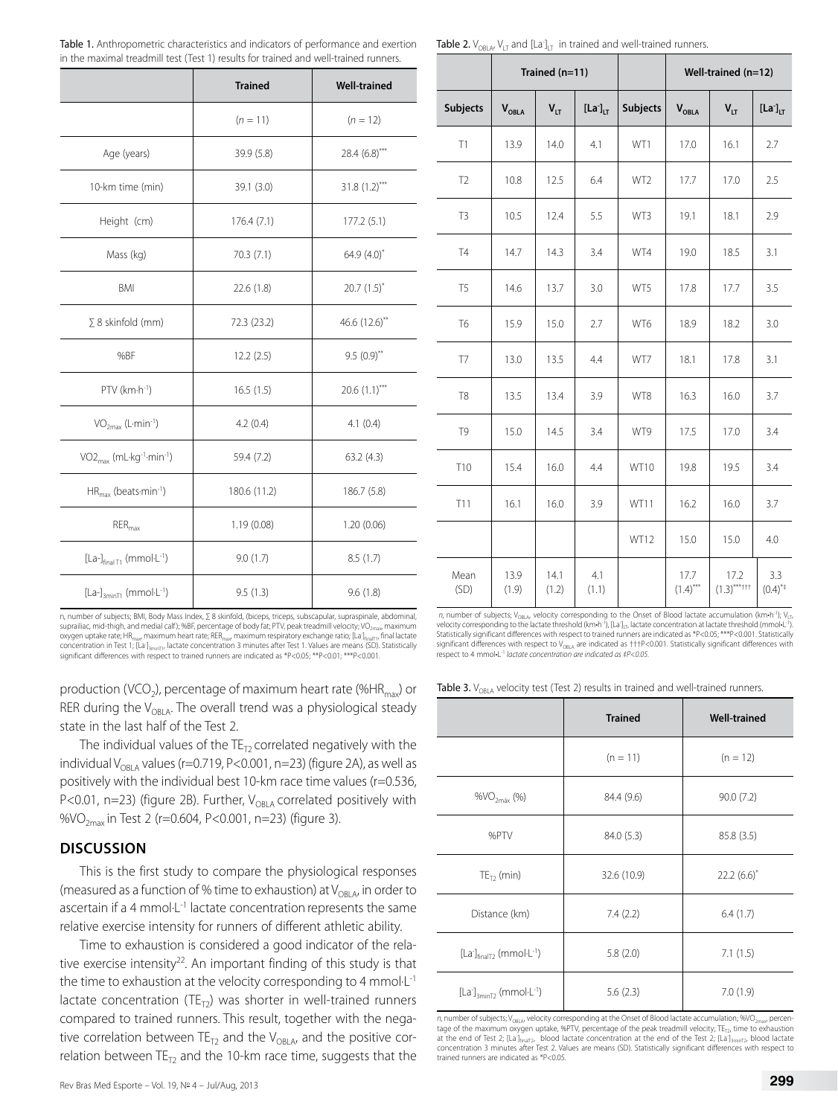|                                                              | <b>Trained</b> | <b>Well-trained</b> |
|--------------------------------------------------------------|----------------|---------------------|
|                                                              | $(n = 11)$     | $(n = 12)$          |
| Age (years)                                                  | 39.9 (5.8)     | $28.4(6.8)$ ***     |
| 10-km time (min)                                             | 39.1 (3.0)     | $31.8(1.2)$ ***     |
| Height (cm)                                                  | 176.4(7.1)     | 177.2(5.1)          |
| Mass (kg)                                                    | 70.3 (7.1)     | 64.9 $(4.0)^{*}$    |
| BMI                                                          | 22.6 (1.8)     | $20.7(1.5)^{*}$     |
| $\Sigma$ 8 skinfold (mm)                                     | 72.3 (23.2)    | 46.6 (12.6)**       |
| %BF                                                          | 12.2(2.5)      | $9.5(0.9)$ **       |
| $PTV$ (km $\cdot h^{-1}$ )                                   | 16.5(1.5)      | $20.6(1.1)$ ***     |
| $VO2max$ (L-min <sup>-1</sup> )                              | 4.2(0.4)       | 4.1(0.4)            |
| VO <sub>2max</sub> (mL·kg <sup>-1</sup> ·min <sup>-1</sup> ) | 59.4 (7.2)     | 63.2(4.3)           |
| $HR_{max}$ (beats-min-1)                                     | 180.6 (11.2)   | 186.7 (5.8)         |
| $RER_{max}$                                                  | 1.19(0.08)     | 1.20(0.06)          |
| $[La-]_{final\ T1}$ (mmol $\cdot$ L <sup>-1</sup> )          | 9.0(1.7)       | 8.5(1.7)            |
| $[La-]_{3minT1}$ (mmol $\cdot$ L <sup>-1</sup> )             | 9.5(1.3)       | 9.6(1.8)            |

Table 1. Anthropometric characteristics and indicators of performance and exertion in the maximal treadmill test (Test 1) results for trained and well-trained runners.

**Table 2.**  $V_{OBLA}$ ,  $V_{LT}$  and  $[La]_{LT}$  in trained and well-trained runners.

|                | Trained (n=11) |                 |                       | Well-trained (n=12) |                     |                        |                              |
|----------------|----------------|-----------------|-----------------------|---------------------|---------------------|------------------------|------------------------------|
| Subjects       | <b>VOBLA</b>   | V <sub>LT</sub> | $[La^{\dagger}]_{LT}$ | Subjects            | $V_{OBLA}$          | V <sub>LT</sub>        | $[La^{\cdot}]_{LT}$          |
| T1             | 13.9           | 14.0            | 4.1                   | WT1                 | 17.0                | 16.1                   | 2.7                          |
| T <sub>2</sub> | 10.8           | 12.5            | 6.4                   | WT2                 | 17.7                | 17.0                   | 2.5                          |
| T <sub>3</sub> | 10.5           | 12.4            | 5.5                   | WT3                 | 19.1                | 18.1                   | 2.9                          |
| <b>T4</b>      | 14.7           | 14.3            | 3.4                   | WT4                 | 19.0                | 18.5                   | 3.1                          |
| T <sub>5</sub> | 14.6           | 13.7            | 3.0                   | WT5                 | 17.8                | 17.7                   | 3.5                          |
| T <sub>6</sub> | 15.9           | 15.0            | 2.7                   | WT6                 | 18.9                | 18.2                   | 3.0                          |
| T7             | 13.0           | 13.5            | 4.4                   | WT7                 | 18.1                | 17.8                   | 3.1                          |
| T <sub>8</sub> | 13.5           | 13.4            | 3.9                   | WT8                 | 16.3                | 16.0                   | 3.7                          |
| T <sub>9</sub> | 15.0           | 14.5            | 3.4                   | WT9                 | 17.5                | 17.0                   | 3.4                          |
| T10            | 15.4           | 16.0            | 4.4                   | <b>WT10</b>         | 19.8                | 19.5                   | 3.4                          |
| T11            | 16.1           | 16.0            | 3.9                   | WT11                | 16.2                | 16.0                   | 3.7                          |
|                |                |                 |                       | WT12                | 15.0                | 15.0                   | 4.0                          |
| Mean<br>(SD)   | 13.9<br>(1.9)  | 14.1<br>(1.2)   | 4.1<br>(1.1)          |                     | 17.7<br>$(1.4)$ *** | 17.2<br>$(1.3)$ ***††† | 3.3<br>$(0.4)$ <sup>**</sup> |

n, number of subjects; BMI, Body Mass Index, ∑ 8 skinfold, (biceps, triceps, subscapular, supraspinale, abdominal, suprailiac, mid-thigh, and medial calf); %BF, percentage of body fat; PTV, peak treadmill velocity; VO<sub>2max</sub>, maximum<br>oxygen uptake rate; HR<sub>max</sub>, maximum heart rate; RER<sub>max</sub>, maximum respiratory exchange ratio; [La<sup>-</sup>]<sub>f</sub> concentration in Test 1; [La<sup>-</sup>]<sub>sminT</sub>, lactate concentration 3 minutes after Test 1. Values are means (SD). Statistically<br>significant differences with respect to trained runners are indicated as \*P<0.05; \*\*P<0.01; \*\*\*P<0

production (VCO<sub>2</sub>), percentage of maximum heart rate (%HR<sub>max</sub>) or RER during the  $V_{OBLA}$ . The overall trend was a physiological steady state in the last half of the Test 2.

The individual values of the  $TE_{T2}$  correlated negatively with the individual V<sub>OBLA</sub> values (r=0.719, P<0.001, n=23) (figure 2A), as well as positively with the individual best 10-km race time values (r=0.536, P<0.01, n=23) (figure 2B). Further,  $V_{OBLA}$  correlated positively with %VO<sub>2max</sub> in Test 2 (r=0.604, P<0.001, n=23) (figure 3).

# **DISCUSSION**

This is the first study to compare the physiological responses (measured as a function of % time to exhaustion) at  $V_{\text{ORIA}}$ , in order to ascertain if a 4 mmol $L^{-1}$  lactate concentration represents the same relative exercise intensity for runners of different athletic ability.

Time to exhaustion is considered a good indicator of the relative exercise intensity<sup>22</sup>. An important finding of this study is that the time to exhaustion at the velocity corresponding to 4 mmol·L-1 lactate concentration (TE<sub>T2</sub>) was shorter in well-trained runners compared to trained runners. This result, together with the negative correlation between TE<sub>T2</sub> and the V<sub>OBLA</sub>, and the positive correlation between  $TE_{T2}$  and the 10-km race time, suggests that the

*n*, number of subjects; V<sub>OBLA</sub>, velocity corresponding to the Onset of Blood lactate accumulation (km·h<sup>-1</sup>); V<sub>LT</sub>,<br>velocity corresponding to the lactate threshold (km·h<sup>-1</sup>), [La<sup>-</sup>]<sub>LT</sub>, lactate concentration at lact Statistically significant differences with respect to trained runners are indicated as \*P<0.05; \*\*\*P<0.001. Statistically<br>significant differences with respect to V<sub>o8LA</sub> are indicated as †††P<0.001. Statistically significa respect to 4 mmol•L-1 *lactate concentration are indicated as ‡P<0.05.*

Table 3.  $V_{ORA}$  velocity test (Test 2) results in trained and well-trained runners.

|                                                                   | <b>Trained</b> | <b>Well-trained</b> |  |  |
|-------------------------------------------------------------------|----------------|---------------------|--|--|
|                                                                   | $(n = 11)$     | $(n = 12)$          |  |  |
| $\%VO_{2max}$ (%)                                                 | 84.4 (9.6)     | 90.0(7.2)           |  |  |
| %PTV                                                              | 84.0 (5.3)     | 85.8 (3.5)          |  |  |
| $TE_T$ , (min)                                                    | 32.6 (10.9)    | $22.2(6.6)$ *       |  |  |
| Distance (km)                                                     | 7.4(2.2)       | 6.4(1.7)            |  |  |
| $[La^{\dagger}]_{\text{final}T2}$ (mmol $\cdot$ L <sup>-1</sup> ) | 5.8(2.0)       | 7.1(1.5)            |  |  |
| $[La]_{3minT}$ (mmol $\cdot$ L <sup>-1</sup> )                    | 5.6(2.3)       | 7.0(1.9)            |  |  |

*n*, number of subjects; V<sub>OBLA</sub>, velocity corresponding at the Onset of Blood lactate accumulation; %VO<sub>2max</sub>, percentage of the maximum oxygen uptake, %PTV, percentage of the peak treadmill velocity; TE<sub>r.7</sub>, time to exhaustion<br>at the end of Test 2; [La]<sub>inali</sub>r, blood lactate concentration at the end of the Test 2; [La]<sub>smin7x</sub> blood l trained runners are indicated as \*P<0.05.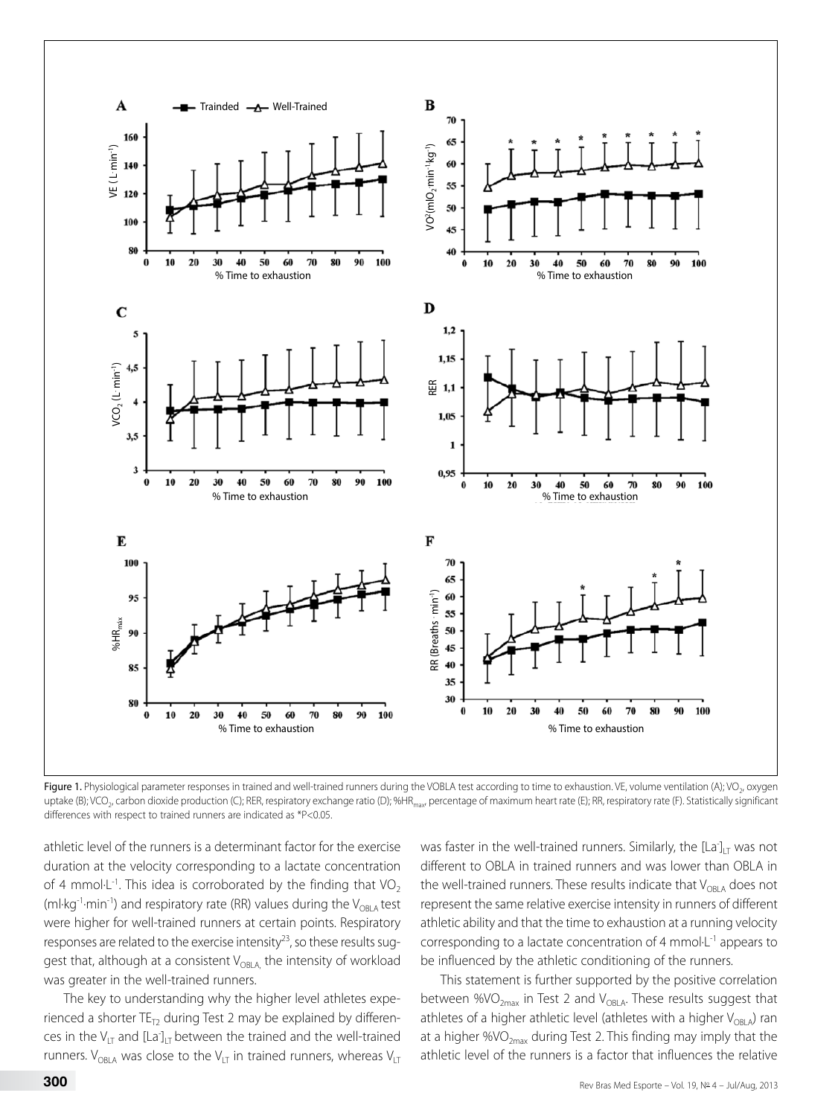

Figure 1. Physiological parameter responses in trained and well-trained runners during the VOBLA test according to time to exhaustion. VE, volume ventilation (A); VO<sub>2</sub>, oxygen uptake (B); VCO<sub>2</sub>, carbon dioxide production (C); RER, respiratory exchange ratio (D); %HR<sub>max</sub>, percentage of maximum heart rate (E); RR, respiratory rate (F). Statistically significant differences with respect to trained runners are indicated as \*P<0.05.

athletic level of the runners is a determinant factor for the exercise duration at the velocity corresponding to a lactate concentration of 4 mmol $L^{-1}$ . This idea is corroborated by the finding that VO<sub>2</sub> (ml·kg<sup>-1</sup>·min<sup>-1</sup>) and respiratory rate (RR) values during the  $V_{ORIA}$  test were higher for well-trained runners at certain points. Respiratory responses are related to the exercise intensity<sup>23</sup>, so these results suggest that, although at a consistent  $V_{OBLA}$ , the intensity of workload was greater in the well-trained runners.

The key to understanding why the higher level athletes experienced a shorter  $TE_{T2}$  during Test 2 may be explained by differences in the  $V_{LT}$  and  $[La]_{LT}$  between the trained and the well-trained runners. V<sub>OBLA</sub> was close to the V<sub>LT</sub> in trained runners, whereas V<sub>LT</sub>

was faster in the well-trained runners. Similarly, the  $\left[\text{La}\right]_{\text{LT}}$  was not different to OBLA in trained runners and was lower than OBLA in the well-trained runners. These results indicate that  $V_{OBLA}$  does not represent the same relative exercise intensity in runners of different athletic ability and that the time to exhaustion at a running velocity corresponding to a lactate concentration of 4 mmol·L-1 appears to be influenced by the athletic conditioning of the runners.

This statement is further supported by the positive correlation between %VO<sub>2max</sub> in Test 2 and V<sub>OBLA</sub>. These results suggest that athletes of a higher athletic level (athletes with a higher  $V_{ORLA}$ ) ran at a higher %VO<sub>2max</sub> during Test 2. This finding may imply that the athletic level of the runners is a factor that influences the relative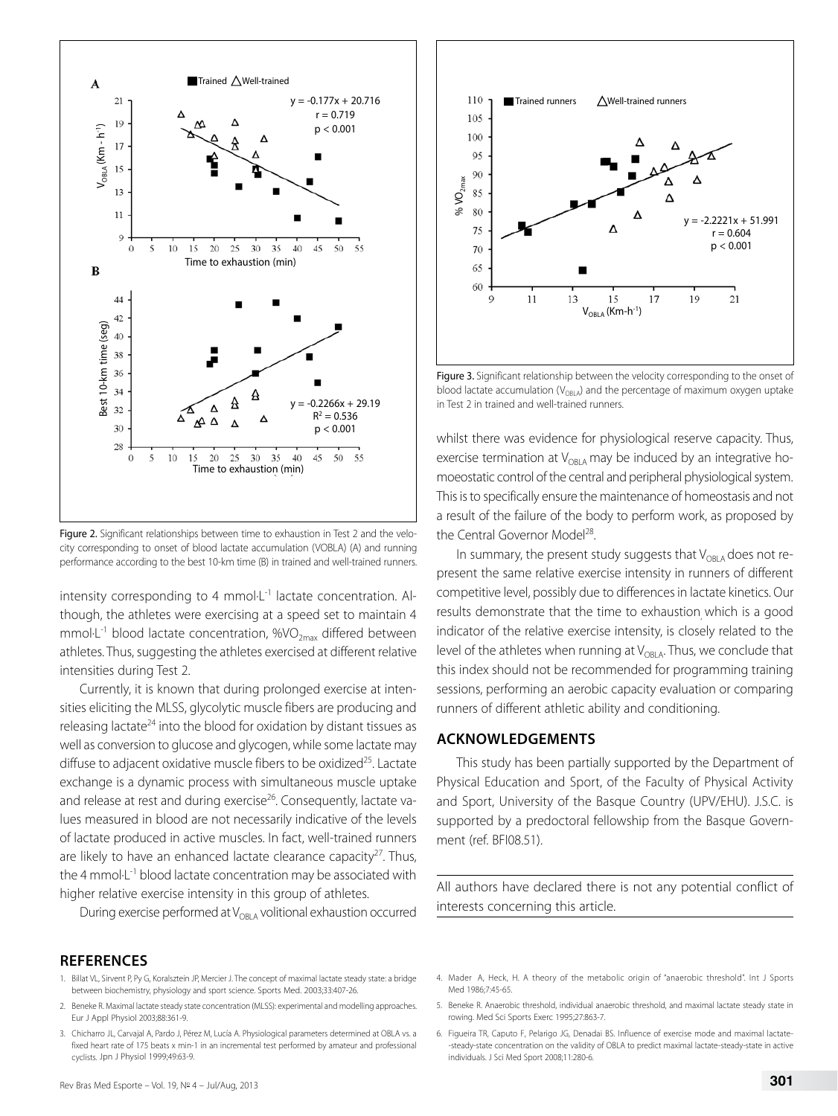

Figure 2. Significant relationships between time to exhaustion in Test 2 and the velocity corresponding to onset of blood lactate accumulation (VOBLA) (A) and running performance according to the best 10-km time (B) in trained and well-trained runners.

intensity corresponding to 4 mmol $L^{-1}$  lactate concentration. Although, the athletes were exercising at a speed set to maintain 4 mmol $\cdot$ L<sup>-1</sup> blood lactate concentration, %VO<sub>2max</sub> differed between athletes. Thus, suggesting the athletes exercised at different relative intensities during Test 2.

Currently, it is known that during prolonged exercise at intensities eliciting the MLSS, glycolytic muscle fibers are producing and releasing lactate<sup>24</sup> into the blood for oxidation by distant tissues as well as conversion to glucose and glycogen, while some lactate may diffuse to adjacent oxidative muscle fibers to be oxidized<sup>25</sup>. Lactate exchange is a dynamic process with simultaneous muscle uptake and release at rest and during exercise<sup>26</sup>. Consequently, lactate values measured in blood are not necessarily indicative of the levels of lactate produced in active muscles. In fact, well-trained runners are likely to have an enhanced lactate clearance capacity $27$ . Thus, the 4 mmol·L-1 blood lactate concentration may be associated with higher relative exercise intensity in this group of athletes.

During exercise performed at  $V_{ORIA}$  volitional exhaustion occurred

#### **REFERENCES**

- 1. Billat VL, Sirvent P, Py G, Koralsztein JP, Mercier J. The concept of maximal lactate steady state: a bridge between biochemistry, physiology and sport science. Sports Med. 2003;33:407-26.
- 2. Beneke R. Maximal lactate steady state concentration (MLSS): experimental and modelling approaches. Eur J Appl Physiol 2003;88:361-9.
- 3. Chicharro JL, Carvajal A, Pardo J, Pérez M, Lucía A. Physiological parameters determined at OBLA vs. a fixed heart rate of 175 beats x min-1 in an incremental test performed by amateur and professional cyclists. Jpn J Physiol 1999;49:63-9.



 $\blacksquare$  Trained runners  $\bigwedge$  Well-trained runners

110

whilst there was evidence for physiological reserve capacity. Thus, exercise termination at  $V_{OBLA}$  may be induced by an integrative homoeostatic control of the central and peripheral physiological system. This is to specifically ensure the maintenance of homeostasis and not a result of the failure of the body to perform work, as proposed by the Central Governor Model<sup>28</sup>.

In summary, the present study suggests that  $V_{\rm ORIA}$  does not represent the same relative exercise intensity in runners of different competitive level, possibly due to differences in lactate kinetics. Our results demonstrate that the time to exhaustion which is a good indicator of the relative exercise intensity, is closely related to the level of the athletes when running at  $V_{ORIA}$ . Thus, we conclude that this index should not be recommended for programming training sessions, performing an aerobic capacity evaluation or comparing runners of different athletic ability and conditioning.

## **ACKNOWLEDGEMENTS**

This study has been partially supported by the Department of Physical Education and Sport, of the Faculty of Physical Activity and Sport, University of the Basque Country (UPV/EHU). J.S.C. is supported by a predoctoral fellowship from the Basque Government (ref. BFI08.51).

All authors have declared there is not any potential conflict of interests concerning this article.

- 4. Mader A, Heck, H. A theory of the metabolic origin of "anaerobic threshold". Int J Sports Med 1986;7:45-65.
- 5. Beneke R. Anaerobic threshold, individual anaerobic threshold, and maximal lactate steady state in rowing. Med Sci Sports Exerc 1995;27:863-7.
- 6. Figueira TR, Caputo F, Pelarigo JG, Denadai BS. Influence of exercise mode and maximal lactate- -steady-state concentration on the validity of OBLA to predict maximal lactate-steady-state in active individuals. J Sci Med Sport 2008;11:280-6.